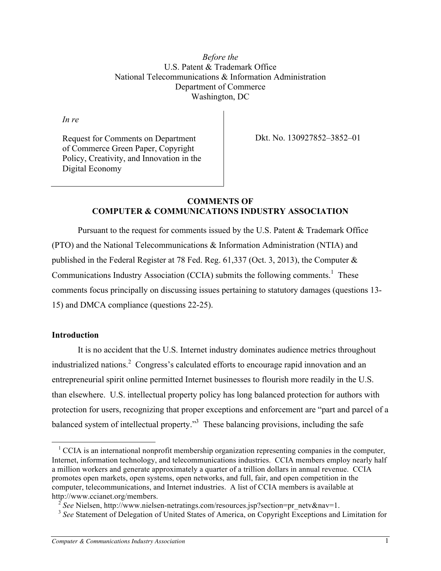*Before the* U.S. Patent & Trademark Office National Telecommunications & Information Administration Department of Commerce Washington, DC

*In re* 

Request for Comments on Department of Commerce Green Paper, Copyright Policy, Creativity, and Innovation in the Digital Economy

Dkt. No. 130927852–3852–01

## **COMMENTS OF COMPUTER & COMMUNICATIONS INDUSTRY ASSOCIATION**

Pursuant to the request for comments issued by the U.S. Patent & Trademark Office (PTO) and the National Telecommunications & Information Administration (NTIA) and published in the Federal Register at 78 Fed. Reg. 61,337 (Oct. 3, 2013), the Computer & Communications Industry Association (CCIA) submits the following comments.<sup>1</sup> These comments focus principally on discussing issues pertaining to statutory damages (questions 13- 15) and DMCA compliance (questions 22-25).

### **Introduction**

It is no accident that the U.S. Internet industry dominates audience metrics throughout industrialized nations.<sup>2</sup> Congress's calculated efforts to encourage rapid innovation and an entrepreneurial spirit online permitted Internet businesses to flourish more readily in the U.S. than elsewhere. U.S. intellectual property policy has long balanced protection for authors with protection for users, recognizing that proper exceptions and enforcement are "part and parcel of a balanced system of intellectual property."<sup>3</sup> These balancing provisions, including the safe

<sup>&</sup>lt;sup>1</sup> CCIA is an international nonprofit membership organization representing companies in the computer, Internet, information technology, and telecommunications industries. CCIA members employ nearly half a million workers and generate approximately a quarter of a trillion dollars in annual revenue. CCIA promotes open markets, open systems, open networks, and full, fair, and open competition in the computer, telecommunications, and Internet industries. A list of CCIA members is available at http://www.ccianet.org/members.

<sup>&</sup>lt;sup>2</sup> *See* Nielsen, http://www.nielsen-netratings.com/resources.jsp?section=pr\_netv&nav=1.

<sup>&</sup>lt;sup>3</sup> See Statement of Delegation of United States of America, on Copyright Exceptions and Limitation for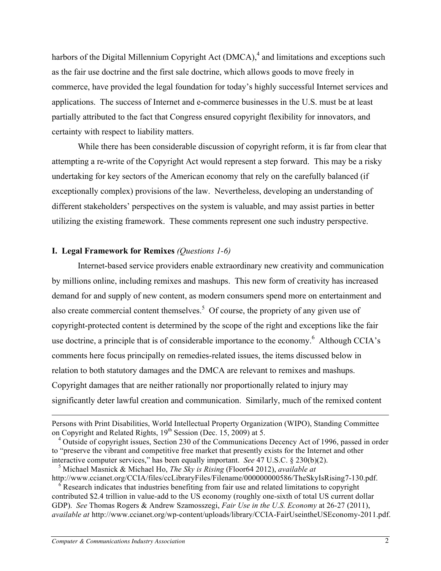harbors of the Digital Millennium Copyright Act  $(DMCA)$ <sup>4</sup>, and limitations and exceptions such as the fair use doctrine and the first sale doctrine, which allows goods to move freely in commerce, have provided the legal foundation for today's highly successful Internet services and applications. The success of Internet and e-commerce businesses in the U.S. must be at least partially attributed to the fact that Congress ensured copyright flexibility for innovators, and certainty with respect to liability matters.

While there has been considerable discussion of copyright reform, it is far from clear that attempting a re-write of the Copyright Act would represent a step forward. This may be a risky undertaking for key sectors of the American economy that rely on the carefully balanced (if exceptionally complex) provisions of the law. Nevertheless, developing an understanding of different stakeholders' perspectives on the system is valuable, and may assist parties in better utilizing the existing framework. These comments represent one such industry perspective.

# **I. Legal Framework for Remixes** *(Questions 1-6)*

Internet-based service providers enable extraordinary new creativity and communication by millions online, including remixes and mashups. This new form of creativity has increased demand for and supply of new content, as modern consumers spend more on entertainment and also create commercial content themselves.<sup>5</sup> Of course, the propriety of any given use of copyright-protected content is determined by the scope of the right and exceptions like the fair use doctrine, a principle that is of considerable importance to the economy.<sup>6</sup> Although CCIA's comments here focus principally on remedies-related issues, the items discussed below in relation to both statutory damages and the DMCA are relevant to remixes and mashups. Copyright damages that are neither rationally nor proportionally related to injury may significantly deter lawful creation and communication. Similarly, much of the remixed content

<u> 1989 - Andrea Santa Andrea Santa Andrea Santa Andrea Santa Andrea Santa Andrea Santa Andrea Santa Andrea San</u>

Persons with Print Disabilities, World Intellectual Property Organization (WIPO), Standing Committee on Copyright and Related Rights,  $19<sup>th</sup>$  Session (Dec. 15, 2009) at 5.

<sup>&</sup>lt;sup>4</sup> Outside of copyright issues, Section 230 of the Communications Decency Act of 1996, passed in order to "preserve the vibrant and competitive free market that presently exists for the Internet and other interactive computer services," has been equally important. *See* 47 U.S.C. § 230(b)(2).

<sup>5</sup> Michael Masnick & Michael Ho, *The Sky is Rising* (Floor64 2012), *available at* http://www.ccianet.org/CCIA/files/ccLibraryFiles/Filename/000000000586/TheSkyIsRising7-130.pdf.

 $6$  Research indicates that industries benefiting from fair use and related limitations to copyright contributed \$2.4 trillion in value-add to the US economy (roughly one-sixth of total US current dollar GDP). *See* Thomas Rogers & Andrew Szamosszegi, *Fair Use in the U.S. Economy* at 26-27 (2011), *available at* http://www.ccianet.org/wp-content/uploads/library/CCIA-FairUseintheUSEconomy-2011.pdf.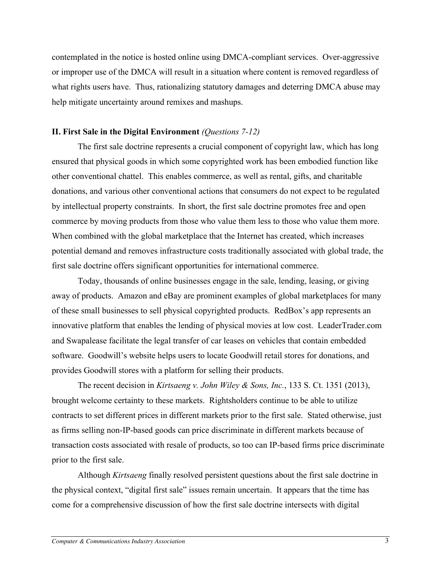contemplated in the notice is hosted online using DMCA-compliant services. Over-aggressive or improper use of the DMCA will result in a situation where content is removed regardless of what rights users have. Thus, rationalizing statutory damages and deterring DMCA abuse may help mitigate uncertainty around remixes and mashups.

# **II. First Sale in the Digital Environment** *(Questions 7-12)*

The first sale doctrine represents a crucial component of copyright law, which has long ensured that physical goods in which some copyrighted work has been embodied function like other conventional chattel. This enables commerce, as well as rental, gifts, and charitable donations, and various other conventional actions that consumers do not expect to be regulated by intellectual property constraints. In short, the first sale doctrine promotes free and open commerce by moving products from those who value them less to those who value them more. When combined with the global marketplace that the Internet has created, which increases potential demand and removes infrastructure costs traditionally associated with global trade, the first sale doctrine offers significant opportunities for international commerce.

Today, thousands of online businesses engage in the sale, lending, leasing, or giving away of products. Amazon and eBay are prominent examples of global marketplaces for many of these small businesses to sell physical copyrighted products. RedBox's app represents an innovative platform that enables the lending of physical movies at low cost. LeaderTrader.com and Swapalease facilitate the legal transfer of car leases on vehicles that contain embedded software. Goodwill's website helps users to locate Goodwill retail stores for donations, and provides Goodwill stores with a platform for selling their products.

The recent decision in *Kirtsaeng v. John Wiley & Sons, Inc.*, 133 S. Ct. 1351 (2013), brought welcome certainty to these markets. Rightsholders continue to be able to utilize contracts to set different prices in different markets prior to the first sale. Stated otherwise, just as firms selling non-IP-based goods can price discriminate in different markets because of transaction costs associated with resale of products, so too can IP-based firms price discriminate prior to the first sale.

Although *Kirtsaeng* finally resolved persistent questions about the first sale doctrine in the physical context, "digital first sale" issues remain uncertain. It appears that the time has come for a comprehensive discussion of how the first sale doctrine intersects with digital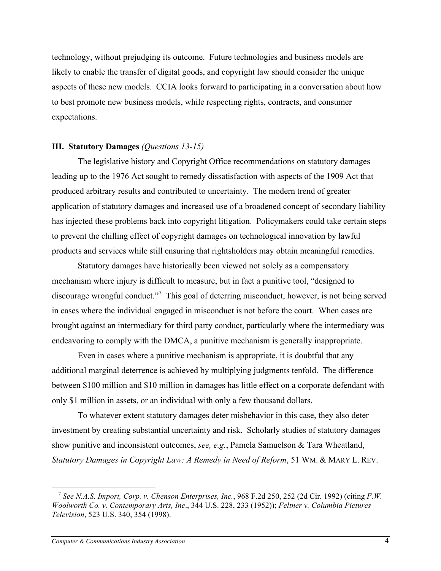technology, without prejudging its outcome. Future technologies and business models are likely to enable the transfer of digital goods, and copyright law should consider the unique aspects of these new models. CCIA looks forward to participating in a conversation about how to best promote new business models, while respecting rights, contracts, and consumer expectations.

## **III. Statutory Damages** *(Questions 13-15)*

The legislative history and Copyright Office recommendations on statutory damages leading up to the 1976 Act sought to remedy dissatisfaction with aspects of the 1909 Act that produced arbitrary results and contributed to uncertainty. The modern trend of greater application of statutory damages and increased use of a broadened concept of secondary liability has injected these problems back into copyright litigation. Policymakers could take certain steps to prevent the chilling effect of copyright damages on technological innovation by lawful products and services while still ensuring that rightsholders may obtain meaningful remedies.

Statutory damages have historically been viewed not solely as a compensatory mechanism where injury is difficult to measure, but in fact a punitive tool, "designed to discourage wrongful conduct."<sup>7</sup> This goal of deterring misconduct, however, is not being served in cases where the individual engaged in misconduct is not before the court. When cases are brought against an intermediary for third party conduct, particularly where the intermediary was endeavoring to comply with the DMCA, a punitive mechanism is generally inappropriate.

Even in cases where a punitive mechanism is appropriate, it is doubtful that any additional marginal deterrence is achieved by multiplying judgments tenfold. The difference between \$100 million and \$10 million in damages has little effect on a corporate defendant with only \$1 million in assets, or an individual with only a few thousand dollars.

To whatever extent statutory damages deter misbehavior in this case, they also deter investment by creating substantial uncertainty and risk. Scholarly studies of statutory damages show punitive and inconsistent outcomes, *see, e.g.*, Pamela Samuelson & Tara Wheatland, *Statutory Damages in Copyright Law: A Remedy in Need of Reform*, 51 WM. & MARY L. REV.

<sup>7</sup> *See N.A.S. Import, Corp. v. Chenson Enterprises, Inc.*, 968 F.2d 250, 252 (2d Cir. 1992) (citing *F.W. Woolworth Co. v. Contemporary Arts, Inc*., 344 U.S. 228, 233 (1952)); *Feltner v. Columbia Pictures Television*, 523 U.S. 340, 354 (1998).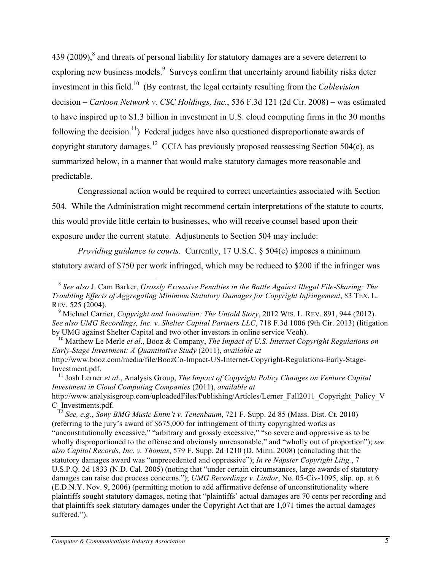439 (2009), ${}^{8}$  and threats of personal liability for statutory damages are a severe deterrent to exploring new business models.<sup>9</sup> Surveys confirm that uncertainty around liability risks deter investment in this field.10 (By contrast, the legal certainty resulting from the *Cablevision* decision – *Cartoon Network v. CSC Holdings, Inc.*, 536 F.3d 121 (2d Cir. 2008) – was estimated to have inspired up to \$1.3 billion in investment in U.S. cloud computing firms in the 30 months following the decision.<sup>11</sup>) Federal judges have also questioned disproportionate awards of copyright statutory damages.<sup>12</sup> CCIA has previously proposed reassessing Section 504(c), as summarized below, in a manner that would make statutory damages more reasonable and predictable.

Congressional action would be required to correct uncertainties associated with Section 504. While the Administration might recommend certain interpretations of the statute to courts, this would provide little certain to businesses, who will receive counsel based upon their exposure under the current statute. Adjustments to Section 504 may include:

*Providing guidance to courts.* Currently, 17 U.S.C. § 504(c) imposes a minimum statutory award of \$750 per work infringed, which may be reduced to \$200 if the infringer was

<sup>11</sup> Josh Lerner *et al*., Analysis Group, *The Impact of Copyright Policy Changes on Venture Capital Investment in Cloud Computing Companies* (2011), *available at* http://www.analysisgroup.com/uploadedFiles/Publishing/Articles/Lerner\_Fall2011\_Copyright\_Policy\_V C\_Investments.pdf.

<sup>12</sup> *See, e.g.*, *Sony BMG Music Entm't v. Tenenbaum*, 721 F. Supp. 2d 85 (Mass. Dist. Ct. 2010) (referring to the jury's award of \$675,000 for infringement of thirty copyrighted works as "unconstitutionally excessive," "arbitrary and grossly excessive," "so severe and oppressive as to be wholly disproportioned to the offense and obviously unreasonable," and "wholly out of proportion"); *see also Capitol Records, Inc. v. Thomas*, 579 F. Supp. 2d 1210 (D. Minn. 2008) (concluding that the statutory damages award was "unprecedented and oppressive"); *In re Napster Copyright Litig.*, 7 U.S.P.Q. 2d 1833 (N.D. Cal. 2005) (noting that "under certain circumstances, large awards of statutory damages can raise due process concerns."); *UMG Recordings v. Lindor*, No. 05-Civ-1095, slip. op. at 6 (E.D.N.Y. Nov. 9, 2006) (permitting motion to add affirmative defense of unconstitutionality where plaintiffs sought statutory damages, noting that "plaintiffs' actual damages are 70 cents per recording and that plaintiffs seek statutory damages under the Copyright Act that are 1,071 times the actual damages suffered.").

<sup>8</sup> *See also* J. Cam Barker, *Grossly Excessive Penalties in the Battle Against Illegal File-Sharing: The Troubling Effects of Aggregating Minimum Statutory Damages for Copyright Infringement*, 83 TEX. L. REV. 525 (2004).

<sup>9</sup> Michael Carrier, *Copyright and Innovation: The Untold Story*, 2012 WIS. L. REV. 891, 944 (2012). *See also UMG Recordings, Inc. v. Shelter Capital Partners LLC*, 718 F.3d 1006 (9th Cir. 2013) (litigation by UMG against Shelter Capital and two other investors in online service Veoh).

<sup>10</sup> Matthew Le Merle *et al*., Booz & Company, *The Impact of U.S. Internet Copyright Regulations on Early-Stage Investment: A Quantitative Study* (2011), *available at* http://www.booz.com/media/file/BoozCo-Impact-US-Internet-Copyright-Regulations-Early-Stage-Investment.pdf.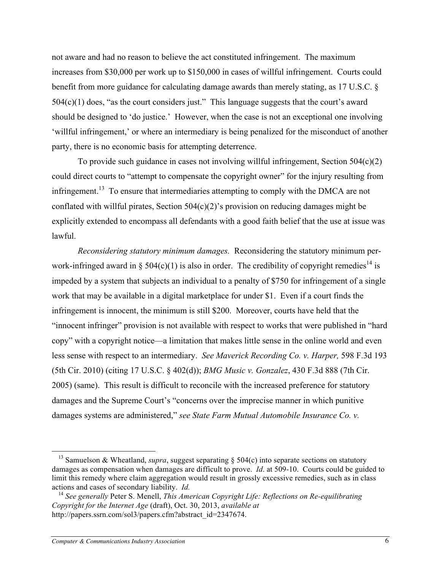not aware and had no reason to believe the act constituted infringement. The maximum increases from \$30,000 per work up to \$150,000 in cases of willful infringement. Courts could benefit from more guidance for calculating damage awards than merely stating, as 17 U.S.C. § 504(c)(1) does, "as the court considers just." This language suggests that the court's award should be designed to 'do justice.' However, when the case is not an exceptional one involving 'willful infringement,' or where an intermediary is being penalized for the misconduct of another party, there is no economic basis for attempting deterrence.

To provide such guidance in cases not involving willful infringement, Section 504(c)(2) could direct courts to "attempt to compensate the copyright owner" for the injury resulting from infringement.<sup>13</sup> To ensure that intermediaries attempting to comply with the DMCA are not conflated with willful pirates, Section  $504(c)(2)$ 's provision on reducing damages might be explicitly extended to encompass all defendants with a good faith belief that the use at issue was lawful.

*Reconsidering statutory minimum damages.* Reconsidering the statutory minimum perwork-infringed award in § 504(c)(1) is also in order. The credibility of copyright remedies<sup>14</sup> is impeded by a system that subjects an individual to a penalty of \$750 for infringement of a single work that may be available in a digital marketplace for under \$1. Even if a court finds the infringement is innocent, the minimum is still \$200. Moreover, courts have held that the "innocent infringer" provision is not available with respect to works that were published in "hard copy" with a copyright notice—a limitation that makes little sense in the online world and even less sense with respect to an intermediary. *See Maverick Recording Co. v. Harper,* 598 F.3d 193 (5th Cir. 2010) (citing 17 U.S.C. § 402(d)); *BMG Music v. Gonzalez*, 430 F.3d 888 (7th Cir. 2005) (same). This result is difficult to reconcile with the increased preference for statutory damages and the Supreme Court's "concerns over the imprecise manner in which punitive damages systems are administered," *see State Farm Mutual Automobile Insurance Co. v.* 

<sup>&</sup>lt;sup>13</sup> Samuelson & Wheatland, *supra*, suggest separating  $\S$  504(c) into separate sections on statutory damages as compensation when damages are difficult to prove. *Id*. at 509-10. Courts could be guided to limit this remedy where claim aggregation would result in grossly excessive remedies, such as in class actions and cases of secondary liability. *Id.* 

<sup>14</sup> *See generally* Peter S. Menell, *This American Copyright Life: Reflections on Re-equilibrating Copyright for the Internet Age* (draft), Oct. 30, 2013, *available at* http://papers.ssrn.com/sol3/papers.cfm?abstract\_id=2347674.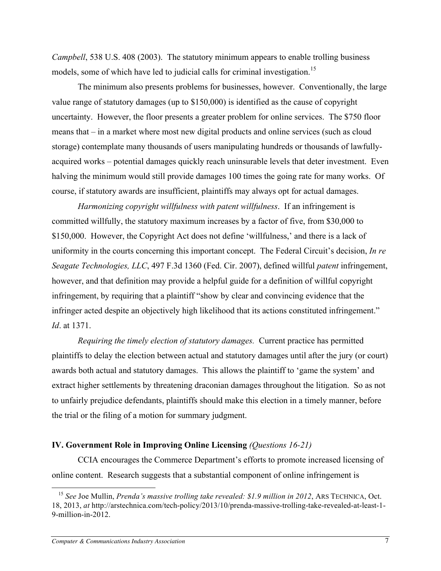*Campbell*, 538 U.S. 408 (2003). The statutory minimum appears to enable trolling business models, some of which have led to judicial calls for criminal investigation.<sup>15</sup>

The minimum also presents problems for businesses, however. Conventionally, the large value range of statutory damages (up to \$150,000) is identified as the cause of copyright uncertainty. However, the floor presents a greater problem for online services. The \$750 floor means that – in a market where most new digital products and online services (such as cloud storage) contemplate many thousands of users manipulating hundreds or thousands of lawfullyacquired works – potential damages quickly reach uninsurable levels that deter investment. Even halving the minimum would still provide damages 100 times the going rate for many works. Of course, if statutory awards are insufficient, plaintiffs may always opt for actual damages.

*Harmonizing copyright willfulness with patent willfulness*. If an infringement is committed willfully, the statutory maximum increases by a factor of five, from \$30,000 to \$150,000. However, the Copyright Act does not define 'willfulness,' and there is a lack of uniformity in the courts concerning this important concept. The Federal Circuit's decision, *In re Seagate Technologies, LLC*, 497 F.3d 1360 (Fed. Cir. 2007), defined willful *patent* infringement, however, and that definition may provide a helpful guide for a definition of willful copyright infringement, by requiring that a plaintiff "show by clear and convincing evidence that the infringer acted despite an objectively high likelihood that its actions constituted infringement." *Id*. at 1371.

*Requiring the timely election of statutory damages.* Current practice has permitted plaintiffs to delay the election between actual and statutory damages until after the jury (or court) awards both actual and statutory damages. This allows the plaintiff to 'game the system' and extract higher settlements by threatening draconian damages throughout the litigation. So as not to unfairly prejudice defendants, plaintiffs should make this election in a timely manner, before the trial or the filing of a motion for summary judgment.

### **IV. Government Role in Improving Online Licensing** *(Questions 16-21)*

CCIA encourages the Commerce Department's efforts to promote increased licensing of online content. Research suggests that a substantial component of online infringement is

<sup>15</sup> *See* Joe Mullin, *Prenda's massive trolling take revealed: \$1.9 million in 2012*, ARS TECHNICA, Oct. 18, 2013, *at* http://arstechnica.com/tech-policy/2013/10/prenda-massive-trolling-take-revealed-at-least-1- 9-million-in-2012.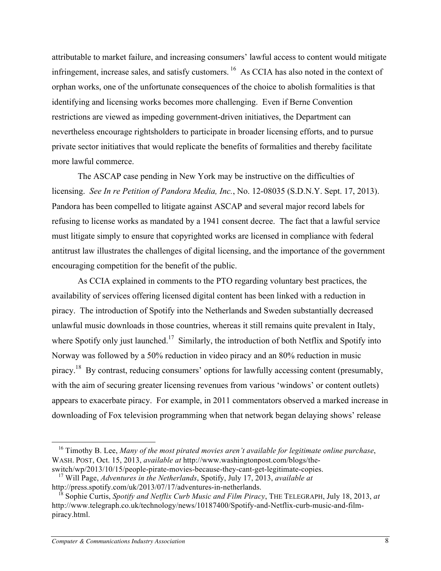attributable to market failure, and increasing consumers' lawful access to content would mitigate infringement, increase sales, and satisfy customers. <sup>16</sup> As CCIA has also noted in the context of orphan works, one of the unfortunate consequences of the choice to abolish formalities is that identifying and licensing works becomes more challenging. Even if Berne Convention restrictions are viewed as impeding government-driven initiatives, the Department can nevertheless encourage rightsholders to participate in broader licensing efforts, and to pursue private sector initiatives that would replicate the benefits of formalities and thereby facilitate more lawful commerce.

The ASCAP case pending in New York may be instructive on the difficulties of licensing. *See In re Petition of Pandora Media, Inc.*, No. 12-08035 (S.D.N.Y. Sept. 17, 2013). Pandora has been compelled to litigate against ASCAP and several major record labels for refusing to license works as mandated by a 1941 consent decree. The fact that a lawful service must litigate simply to ensure that copyrighted works are licensed in compliance with federal antitrust law illustrates the challenges of digital licensing, and the importance of the government encouraging competition for the benefit of the public.

As CCIA explained in comments to the PTO regarding voluntary best practices, the availability of services offering licensed digital content has been linked with a reduction in piracy. The introduction of Spotify into the Netherlands and Sweden substantially decreased unlawful music downloads in those countries, whereas it still remains quite prevalent in Italy, where Spotify only just launched.<sup>17</sup> Similarly, the introduction of both Netflix and Spotify into Norway was followed by a 50% reduction in video piracy and an 80% reduction in music piracy.18 By contrast, reducing consumers' options for lawfully accessing content (presumably, with the aim of securing greater licensing revenues from various 'windows' or content outlets) appears to exacerbate piracy. For example, in 2011 commentators observed a marked increase in downloading of Fox television programming when that network began delaying shows' release

 <sup>16</sup> Timothy B. Lee, *Many of the most pirated movies aren't available for legitimate online purchase*, WASH. POST, Oct. 15, 2013, *available at* http://www.washingtonpost.com/blogs/theswitch/wp/2013/10/15/people-pirate-movies-because-they-cant-get-legitimate-copies.

<sup>17</sup> Will Page, *Adventures in the Netherlands*, Spotify, July 17, 2013, *available at* http://press.spotify.com/uk/2013/07/17/adventures-in-netherlands.

<sup>18</sup> Sophie Curtis, *Spotify and Netflix Curb Music and Film Piracy*, THE TELEGRAPH, July 18, 2013, *at* http://www.telegraph.co.uk/technology/news/10187400/Spotify-and-Netflix-curb-music-and-filmpiracy.html.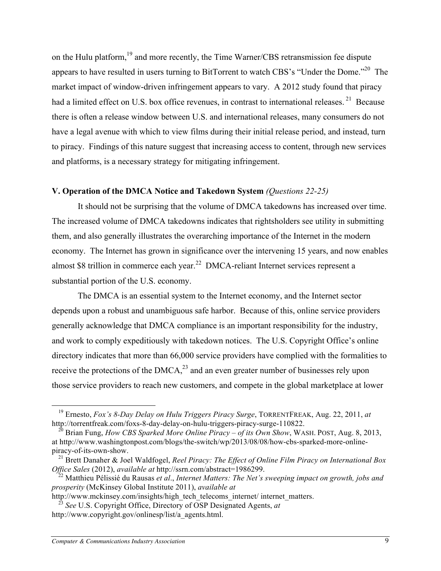on the Hulu platform,<sup>19</sup> and more recently, the Time Warner/CBS retransmission fee dispute appears to have resulted in users turning to BitTorrent to watch CBS's "Under the Dome."20 The market impact of window-driven infringement appears to vary. A 2012 study found that piracy had a limited effect on U.S. box office revenues, in contrast to international releases.<sup>21</sup> Because there is often a release window between U.S. and international releases, many consumers do not have a legal avenue with which to view films during their initial release period, and instead, turn to piracy. Findings of this nature suggest that increasing access to content, through new services and platforms, is a necessary strategy for mitigating infringement.

## **V. Operation of the DMCA Notice and Takedown System** *(Questions 22-25)*

It should not be surprising that the volume of DMCA takedowns has increased over time. The increased volume of DMCA takedowns indicates that rightsholders see utility in submitting them, and also generally illustrates the overarching importance of the Internet in the modern economy. The Internet has grown in significance over the intervening 15 years, and now enables almost \$8 trillion in commerce each year.<sup>22</sup> DMCA-reliant Internet services represent a substantial portion of the U.S. economy.

The DMCA is an essential system to the Internet economy, and the Internet sector depends upon a robust and unambiguous safe harbor. Because of this, online service providers generally acknowledge that DMCA compliance is an important responsibility for the industry, and work to comply expeditiously with takedown notices. The U.S. Copyright Office's online directory indicates that more than 66,000 service providers have complied with the formalities to receive the protections of the  $DMCA<sub>1</sub><sup>23</sup>$  and an even greater number of businesses rely upon those service providers to reach new customers, and compete in the global marketplace at lower

<sup>19</sup> Ernesto, *Fox's 8-Day Delay on Hulu Triggers Piracy Surge*, TORRENTFREAK, Aug. 22, 2011, *at*  http://torrentfreak.com/foxs-8-day-delay-on-hulu-triggers-piracy-surge-110822.

<sup>20</sup> Brian Fung, *How CBS Sparked More Online Piracy – of its Own Show*, WASH. POST, Aug. 8, 2013, at http://www.washingtonpost.com/blogs/the-switch/wp/2013/08/08/how-cbs-sparked-more-onlinepiracy-of-its-own-show.

<sup>21</sup> Brett Danaher & Joel Waldfogel, *Reel Piracy: The Effect of Online Film Piracy on International Box Office Sales* (2012), *available at* http://ssrn.com/abstract=1986299.

<sup>22</sup> Matthieu Pélissié du Rausas *et al*., *Internet Matters: The Net's sweeping impact on growth, jobs and prosperity* (McKinsey Global Institute 2011), *available at* 

http://www.mckinsey.com/insights/high\_tech\_telecoms\_internet/ internet\_matters.

<sup>23</sup> *See* U.S. Copyright Office, Directory of OSP Designated Agents, *at*  http://www.copyright.gov/onlinesp/list/a\_agents.html.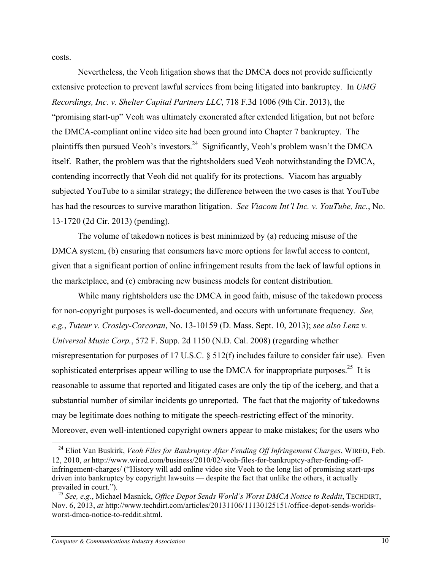costs.

Nevertheless, the Veoh litigation shows that the DMCA does not provide sufficiently extensive protection to prevent lawful services from being litigated into bankruptcy. In *UMG Recordings, Inc. v. Shelter Capital Partners LLC*, 718 F.3d 1006 (9th Cir. 2013), the "promising start-up" Veoh was ultimately exonerated after extended litigation, but not before the DMCA-compliant online video site had been ground into Chapter 7 bankruptcy. The plaintiffs then pursued Veoh's investors.<sup>24</sup> Significantly, Veoh's problem wasn't the DMCA itself. Rather, the problem was that the rightsholders sued Veoh notwithstanding the DMCA, contending incorrectly that Veoh did not qualify for its protections. Viacom has arguably subjected YouTube to a similar strategy; the difference between the two cases is that YouTube has had the resources to survive marathon litigation. *See Viacom Int'l Inc. v. YouTube, Inc.*, No. 13-1720 (2d Cir. 2013) (pending).

The volume of takedown notices is best minimized by (a) reducing misuse of the DMCA system, (b) ensuring that consumers have more options for lawful access to content, given that a significant portion of online infringement results from the lack of lawful options in the marketplace, and (c) embracing new business models for content distribution.

While many rightsholders use the DMCA in good faith, misuse of the takedown process for non-copyright purposes is well-documented, and occurs with unfortunate frequency. *See, e.g.*, *Tuteur v. Crosley-Corcoran*, No. 13-10159 (D. Mass. Sept. 10, 2013); *see also Lenz v. Universal Music Corp.*, 572 F. Supp. 2d 1150 (N.D. Cal. 2008) (regarding whether misrepresentation for purposes of 17 U.S.C. § 512(f) includes failure to consider fair use). Even sophisticated enterprises appear willing to use the DMCA for inappropriate purposes.<sup>25</sup> It is reasonable to assume that reported and litigated cases are only the tip of the iceberg, and that a substantial number of similar incidents go unreported. The fact that the majority of takedowns may be legitimate does nothing to mitigate the speech-restricting effect of the minority. Moreover, even well-intentioned copyright owners appear to make mistakes; for the users who

 <sup>24</sup> Eliot Van Buskirk, *Veoh Files for Bankruptcy After Fending Off Infringement Charges*, WIRED, Feb. 12, 2010, *at* http://www.wired.com/business/2010/02/veoh-files-for-bankruptcy-after-fending-offinfringement-charges/ ("History will add online video site Veoh to the long list of promising start-ups driven into bankruptcy by copyright lawsuits — despite the fact that unlike the others, it actually prevailed in court.").

<sup>25</sup> *See, e.g.*, Michael Masnick, *Office Depot Sends World's Worst DMCA Notice to Reddit*, TECHDIRT, Nov. 6, 2013, *at* http://www.techdirt.com/articles/20131106/11130125151/office-depot-sends-worldsworst-dmca-notice-to-reddit shtml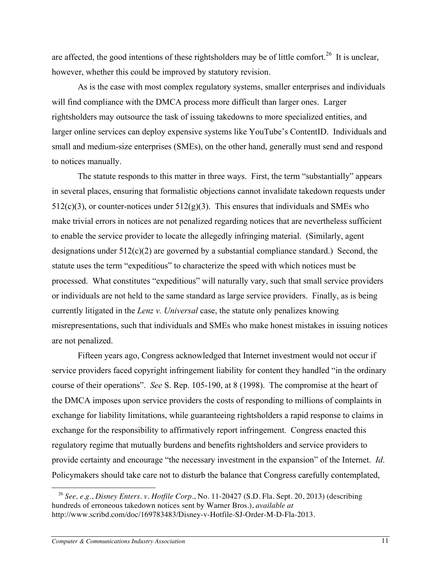are affected, the good intentions of these rightsholders may be of little comfort.<sup>26</sup> It is unclear, however, whether this could be improved by statutory revision.

As is the case with most complex regulatory systems, smaller enterprises and individuals will find compliance with the DMCA process more difficult than larger ones. Larger rightsholders may outsource the task of issuing takedowns to more specialized entities, and larger online services can deploy expensive systems like YouTube's ContentID. Individuals and small and medium-size enterprises (SMEs), on the other hand, generally must send and respond to notices manually.

The statute responds to this matter in three ways. First, the term "substantially" appears in several places, ensuring that formalistic objections cannot invalidate takedown requests under  $512(c)(3)$ , or counter-notices under  $512(g)(3)$ . This ensures that individuals and SMEs who make trivial errors in notices are not penalized regarding notices that are nevertheless sufficient to enable the service provider to locate the allegedly infringing material. (Similarly, agent designations under 512(c)(2) are governed by a substantial compliance standard.) Second, the statute uses the term "expeditious" to characterize the speed with which notices must be processed. What constitutes "expeditious" will naturally vary, such that small service providers or individuals are not held to the same standard as large service providers. Finally, as is being currently litigated in the *Lenz v. Universal* case, the statute only penalizes knowing misrepresentations, such that individuals and SMEs who make honest mistakes in issuing notices are not penalized.

Fifteen years ago, Congress acknowledged that Internet investment would not occur if service providers faced copyright infringement liability for content they handled "in the ordinary course of their operations". *See* S. Rep. 105-190, at 8 (1998). The compromise at the heart of the DMCA imposes upon service providers the costs of responding to millions of complaints in exchange for liability limitations, while guaranteeing rightsholders a rapid response to claims in exchange for the responsibility to affirmatively report infringement. Congress enacted this regulatory regime that mutually burdens and benefits rightsholders and service providers to provide certainty and encourage "the necessary investment in the expansion" of the Internet. *Id*. Policymakers should take care not to disturb the balance that Congress carefully contemplated,

<sup>26</sup> *See, e.g.*, *Disney Enters. v. Hotfile Corp.*, No. 11-20427 (S.D. Fla. Sept. 20, 2013) (describing hundreds of erroneous takedown notices sent by Warner Bros.), *available at* http://www.scribd.com/doc/169783483/Disney-v-Hotfile-SJ-Order-M-D-Fla-2013.